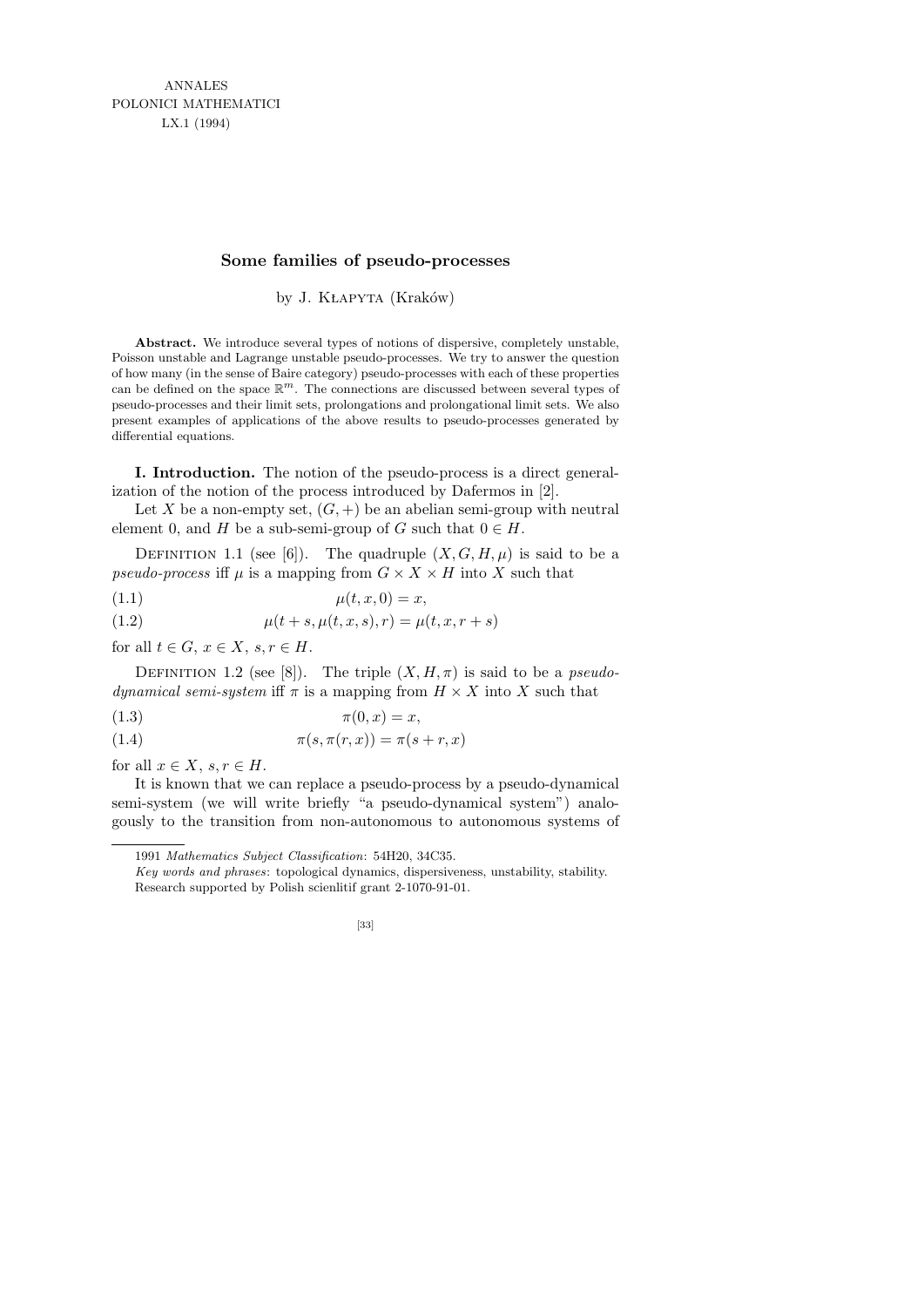## **Some families of pseudo-processes**

by J. KŁAPYTA (Kraków)

**Abstract.** We introduce several types of notions of dispersive, completely unstable, Poisson unstable and Lagrange unstable pseudo-processes. We try to answer the question of how many (in the sense of Baire category) pseudo-processes with each of these properties can be defined on the space  $\mathbb{R}^m$ . The connections are discussed between several types of pseudo-processes and their limit sets, prolongations and prolongational limit sets. We also present examples of applications of the above results to pseudo-processes generated by differential equations.

I. Introduction. The notion of the pseudo-process is a direct generalization of the notion of the process introduced by Dafermos in [2].

Let X be a non-empty set,  $(G, +)$  be an abelian semi-group with neutral element 0, and H be a sub-semi-group of G such that  $0 \in H$ .

DEFINITION 1.1 (see [6]). The quadruple  $(X, G, H, \mu)$  is said to be a pseudo-process iff  $\mu$  is a mapping from  $G \times X \times H$  into X such that

$$
\mu(t, x, 0) = x,
$$

(1.2) 
$$
\mu(t+s, \mu(t,x,s), r) = \mu(t,x,r+s)
$$

for all  $t \in G$ ,  $x \in X$ ,  $s, r \in H$ .

DEFINITION 1.2 (see [8]). The triple  $(X, H, \pi)$  is said to be a *pseudodynamical semi-system* iff  $\pi$  is a mapping from  $H \times X$  into X such that

$$
\pi(0, x) = x,
$$

$$
\pi(s, \pi(r, x)) = \pi(s+r, x)
$$

for all  $x \in X$ ,  $s, r \in H$ .

It is known that we can replace a pseudo-process by a pseudo-dynamical semi-system (we will write briefly "a pseudo-dynamical system") analogously to the transition from non-autonomous to autonomous systems of

*Key words and phrases*: topological dynamics, dispersiveness, unstability, stability. Research supported by Polish scienlitif grant 2-1070-91-01.



<sup>1991</sup> *Mathematics Subject Classification*: 54H20, 34C35.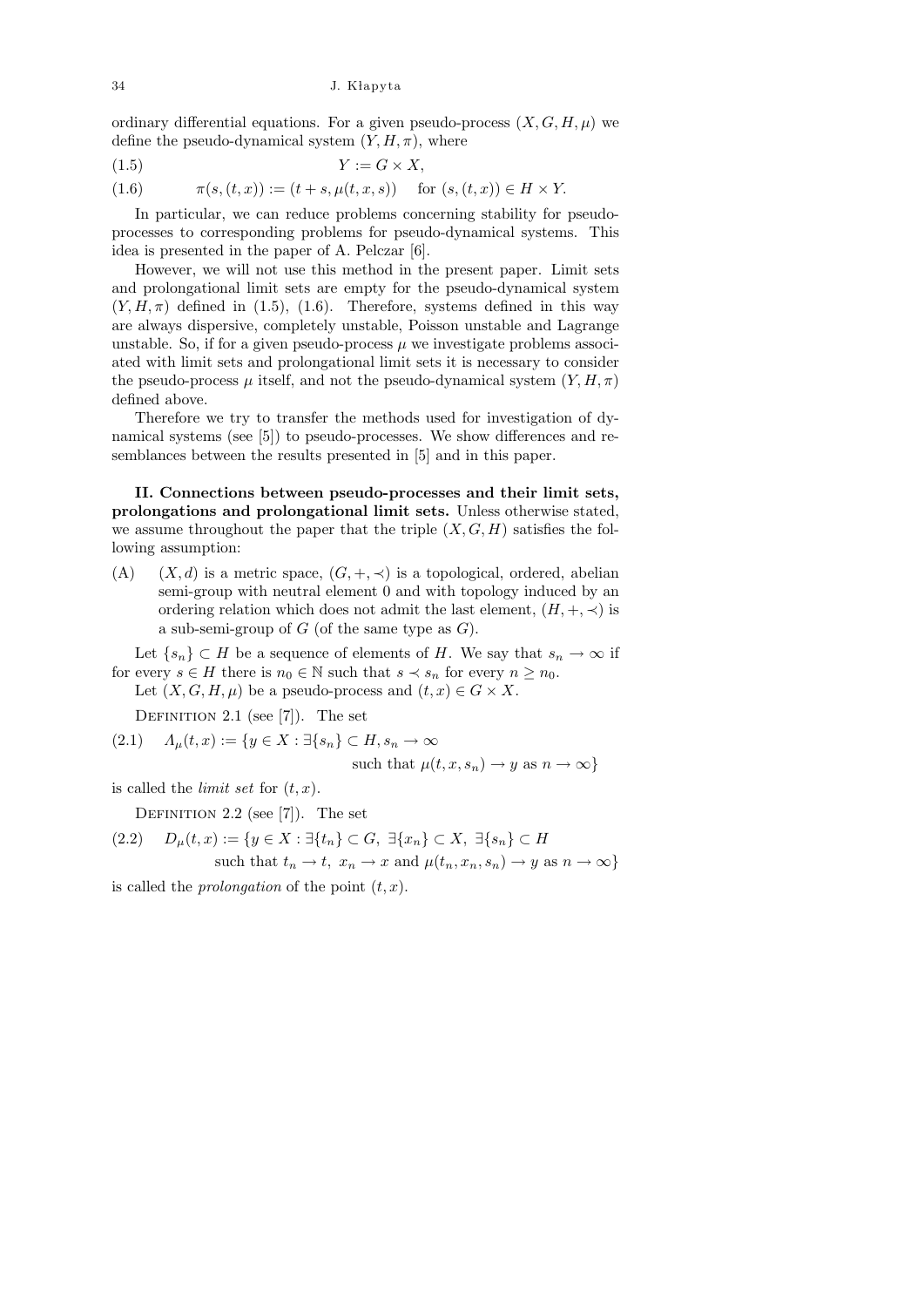34 J. K lapyta

ordinary differential equations. For a given pseudo-process  $(X, G, H, \mu)$  we define the pseudo-dynamical system  $(Y, H, \pi)$ , where

$$
(1.5) \t\t Y := G \times X,
$$

(1.6) 
$$
\pi(s,(t,x)) := (t+s,\mu(t,x,s)) \text{ for } (s,(t,x)) \in H \times Y.
$$

In particular, we can reduce problems concerning stability for pseudoprocesses to corresponding problems for pseudo-dynamical systems. This idea is presented in the paper of A. Pelczar [6].

However, we will not use this method in the present paper. Limit sets and prolongational limit sets are empty for the pseudo-dynamical system  $(Y, H, \pi)$  defined in (1.5), (1.6). Therefore, systems defined in this way are always dispersive, completely unstable, Poisson unstable and Lagrange unstable. So, if for a given pseudo-process  $\mu$  we investigate problems associated with limit sets and prolongational limit sets it is necessary to consider the pseudo-process  $\mu$  itself, and not the pseudo-dynamical system  $(Y, H, \pi)$ defined above.

Therefore we try to transfer the methods used for investigation of dynamical systems (see [5]) to pseudo-processes. We show differences and resemblances between the results presented in [5] and in this paper.

II. Connections between pseudo-processes and their limit sets, prolongations and prolongational limit sets. Unless otherwise stated, we assume throughout the paper that the triple  $(X, G, H)$  satisfies the following assumption:

(A)  $(X, d)$  is a metric space,  $(G, +, \prec)$  is a topological, ordered, abelian semi-group with neutral element 0 and with topology induced by an ordering relation which does not admit the last element,  $(H, +, \prec)$  is a sub-semi-group of  $G$  (of the same type as  $G$ ).

Let  $\{s_n\} \subset H$  be a sequence of elements of H. We say that  $s_n \to \infty$  if for every  $s \in H$  there is  $n_0 \in \mathbb{N}$  such that  $s \prec s_n$  for every  $n \geq n_0$ .

Let  $(X, G, H, \mu)$  be a pseudo-process and  $(t, x) \in G \times X$ .

DEFINITION 2.1 (see  $[7]$ ). The set

$$
(2.1) \quad \Lambda_{\mu}(t,x) := \{ y \in X : \exists \{ s_n \} \subset H, s_n \to \infty \}
$$

such that 
$$
\mu(t, x, s_n) \to y
$$
 as  $n \to \infty$ }

is called the *limit set* for  $(t, x)$ .

DEFINITION 2.2 (see  $[7]$ ). The set

$$
(2.2) \quad D_{\mu}(t,x) := \{ y \in X : \exists \{t_n\} \subset G, \exists \{x_n\} \subset X, \exists \{s_n\} \subset H
$$
  
such that  $t_n \to t, x_n \to x$  and  $\mu(t_n, x_n, s_n) \to y$  as  $n \to \infty \}$ 

is called the *prolongation* of the point  $(t, x)$ .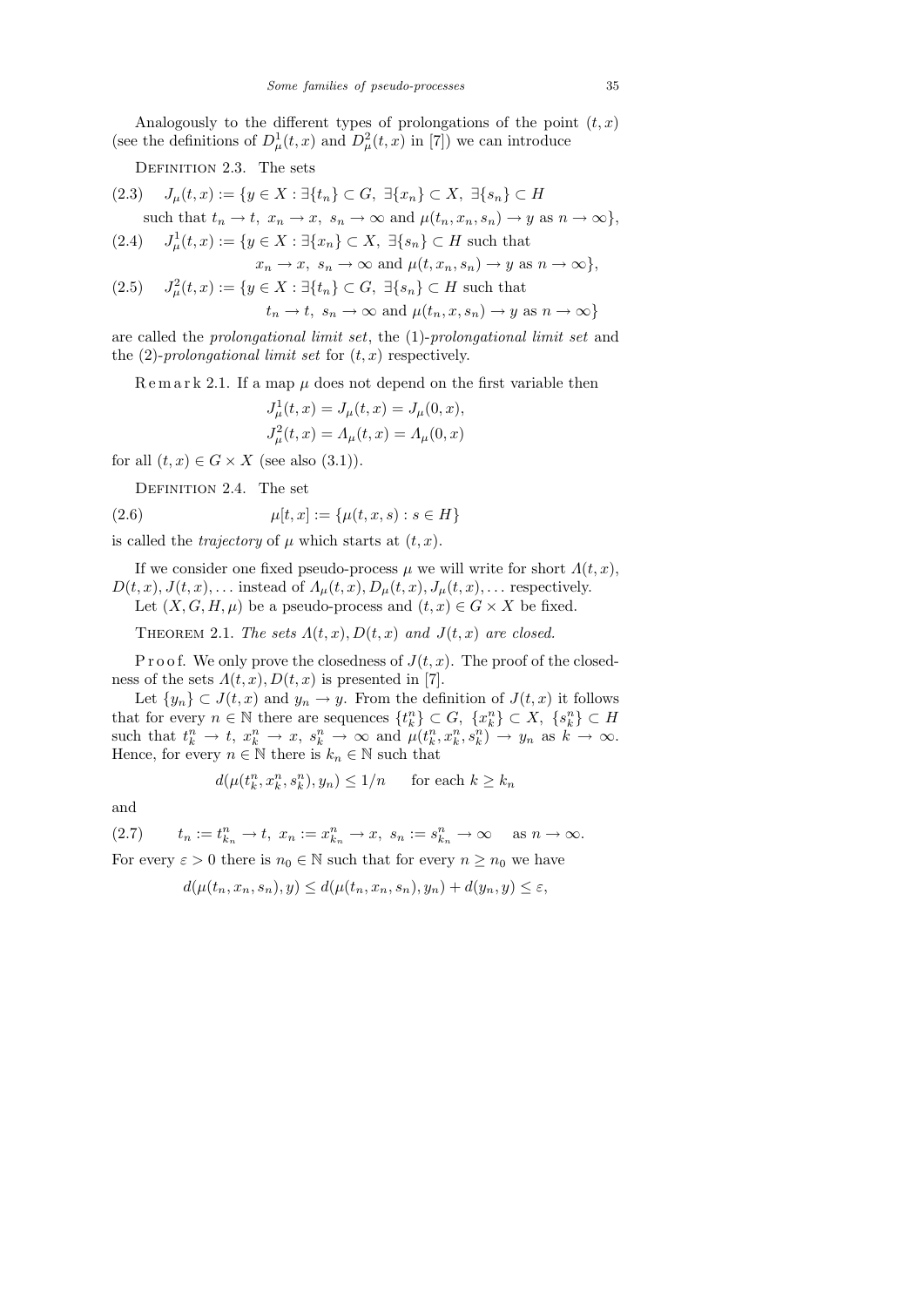Analogously to the different types of prolongations of the point  $(t, x)$ (see the definitions of  $D^1_\mu(t,x)$  and  $D^2_\mu(t,x)$  in [7]) we can introduce

DEFINITION 2.3. The sets

$$
(2.3) \quad J_{\mu}(t,x) := \{ y \in X : \exists \{t_n\} \subset G, \exists \{x_n\} \subset X, \exists \{s_n\} \subset H
$$
  
such that  $t_n \to t, x_n \to x, s_n \to \infty$  and  $\mu(t_n, x_n, s_n) \to y$  as  $n \to \infty \},$   

$$
(2.4) \quad J_{\mu}^1(t,x) := \{ y \in X : \exists \{x_n\} \subset X, \exists \{s_n\} \subset H \text{ such that}
$$

$$
(2.4) \quad J^1_\mu(t,x) := \{ y \in X : \exists \{x_n\} \subset X, \ \exists \{s_n\} \subset H \text{ such that } x_n \to x, \ s_n \to \infty \text{ and } \mu(t, x_n, s_n) \to y \text{ as } n \to \infty \},
$$

 $(2.5)$  $L^2_{\mu}(t,x) := \{y \in X : \exists \{t_n\} \subset G, \exists \{s_n\} \subset H \text{ such that }$ 

$$
t_n \to t
$$
,  $s_n \to \infty$  and  $\mu(t_n, x, s_n) \to y$  as  $n \to \infty$ }

are called the prolongational limit set, the (1)-prolongational limit set and the  $(2)$ -prolongational limit set for  $(t, x)$  respectively.

Remark 2.1. If a map  $\mu$  does not depend on the first variable then

$$
J_{\mu}^{1}(t, x) = J_{\mu}(t, x) = J_{\mu}(0, x),
$$
  

$$
J_{\mu}^{2}(t, x) = \Lambda_{\mu}(t, x) = \Lambda_{\mu}(0, x)
$$

for all  $(t, x) \in G \times X$  (see also  $(3.1)$ ).

DEFINITION 2.4. The set

(2.6) 
$$
\mu[t, x] := \{\mu(t, x, s) : s \in H\}
$$

is called the *trajectory* of  $\mu$  which starts at  $(t, x)$ .

If we consider one fixed pseudo-process  $\mu$  we will write for short  $\Lambda(t, x)$ ,  $D(t, x), J(t, x), \ldots$  instead of  $A_\mu(t, x), D_\mu(t, x), J_\mu(t, x), \ldots$  respectively.

Let  $(X, G, H, \mu)$  be a pseudo-process and  $(t, x) \in G \times X$  be fixed.

THEOREM 2.1. The sets  $A(t, x), D(t, x)$  and  $J(t, x)$  are closed.

P r o o f. We only prove the closedness of  $J(t, x)$ . The proof of the closedness of the sets  $\Lambda(t, x)$ ,  $D(t, x)$  is presented in [7].

Let  $\{y_n\} \subset J(t, x)$  and  $y_n \to y$ . From the definition of  $J(t, x)$  it follows that for every  $n \in \mathbb{N}$  there are sequences  $\{t_k^n\} \subset G$ ,  $\{x_k^n\} \subset X$ ,  $\{s_k^n\} \subset H$ such that  $t_k^n \to t$ ,  $x_k^n \to x$ ,  $s_k^n \to \infty$  and  $\mu(t_k^n, x_k^n, s_k^n) \to y_n$  as  $k \to \infty$ . Hence, for every  $n \in \mathbb{N}$  there is  $k_n \in \mathbb{N}$  such that

$$
d(\mu(t_k^n, x_k^n, s_k^n), y_n) \le 1/n \quad \text{ for each } k \ge k_n
$$

and

(2.7)  $t_n := t_{k_n}^n \to t$ ,  $x_n := x_{k_n}^n \to x$ ,  $s_n := s_{k_n}^n \to \infty$  as  $n \to \infty$ .

For every  $\varepsilon > 0$  there is  $n_0 \in \mathbb{N}$  such that for every  $n \geq n_0$  we have

$$
d(\mu(t_n, x_n, s_n), y) \leq d(\mu(t_n, x_n, s_n), y_n) + d(y_n, y) \leq \varepsilon,
$$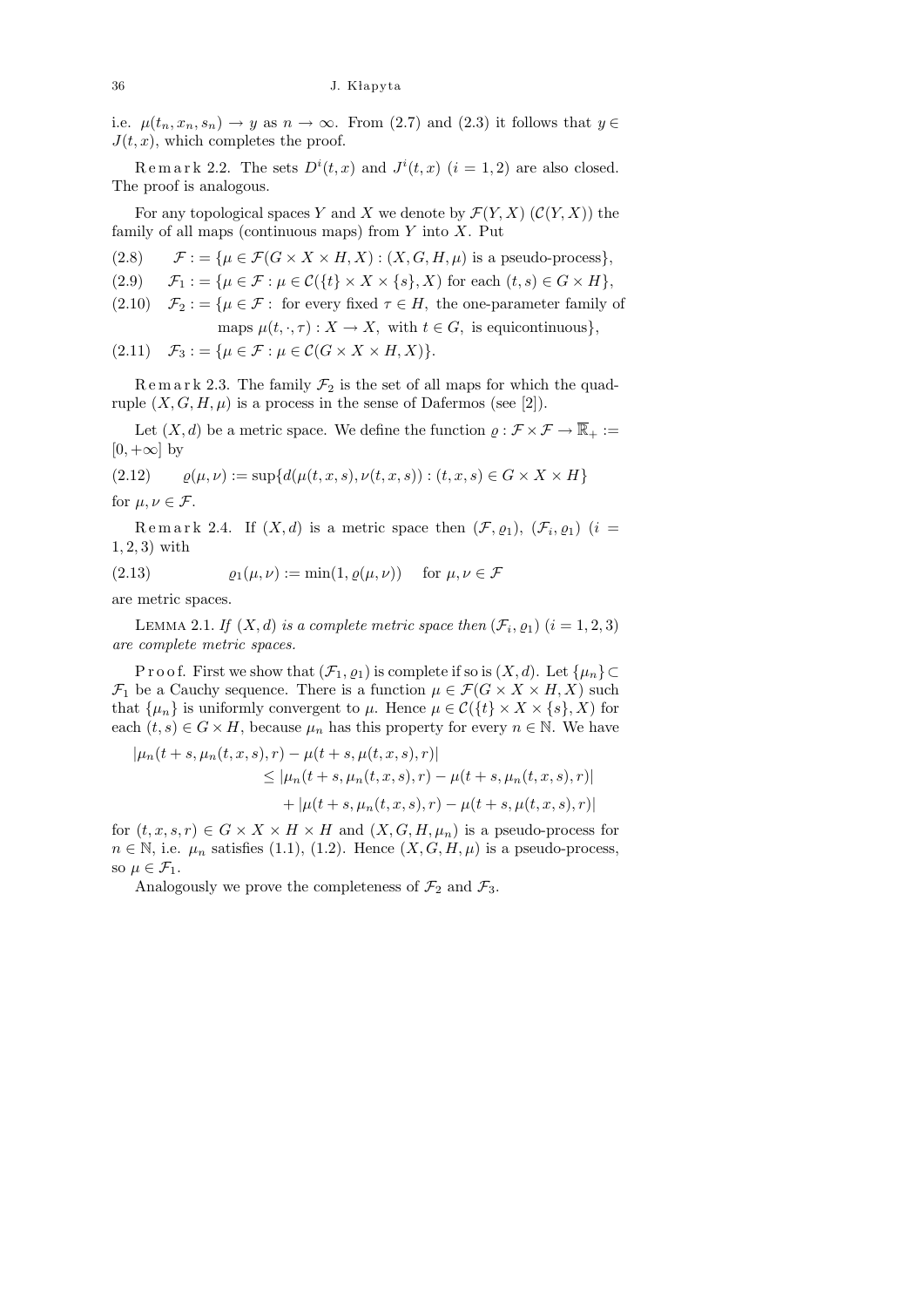i.e.  $\mu(t_n, x_n, s_n) \to y$  as  $n \to \infty$ . From (2.7) and (2.3) it follows that  $y \in$  $J(t, x)$ , which completes the proof.

Remark 2.2. The sets  $D^{i}(t, x)$  and  $J^{i}(t, x)$   $(i = 1, 2)$  are also closed. The proof is analogous.

For any topological spaces Y and X we denote by  $\mathcal{F}(Y, X)$  ( $\mathcal{C}(Y, X)$ ) the family of all maps (continuous maps) from  $Y$  into  $X$ . Put

(2.8)  $\mathcal{F}$ : = { $\mu \in \mathcal{F}(G \times X \times H, X)$  :  $(X, G, H, \mu)$  is a pseudo-process},

(2.9)  $\mathcal{F}_1 := \{ \mu \in \mathcal{F} : \mu \in \mathcal{C}(\{t\} \times X \times \{s\}, X) \text{ for each } (t, s) \in G \times H \},\$ 

 $(2.10)$   $\mathcal{F}_2 := \{ \mu \in \mathcal{F} : \text{ for every fixed } \tau \in H, \text{ the one-parameter family of } \}$ maps  $\mu(t, \cdot, \tau) : X \to X$ , with  $t \in G$ , is equicontinuous},

$$
(2.11) \quad \mathcal{F}_3 := \{ \mu \in \mathcal{F} : \mu \in \mathcal{C}(G \times X \times H, X) \}.
$$

Remark 2.3. The family  $\mathcal{F}_2$  is the set of all maps for which the quadruple  $(X, G, H, \mu)$  is a process in the sense of Dafermos (see [2]).

Let  $(X, d)$  be a metric space. We define the function  $\varrho : \mathcal{F} \times \mathcal{F} \to \overline{\mathbb{R}}_+ :=$  $[0, +\infty]$  by

(2.12)  $\varrho(\mu, \nu) := \sup \{ d(\mu(t, x, s), \nu(t, x, s)) : (t, x, s) \in G \times X \times H \}$ for  $u, v \in \mathcal{F}$ .

Remark 2.4. If  $(X,d)$  is a metric space then  $(\mathcal{F},\varrho_1), (\mathcal{F}_i,\varrho_1)$   $(i=$ 1, 2, 3) with

(2.13)  $\varrho_1(\mu, \nu) := \min(1, \varrho(\mu, \nu))$  for  $\mu, \nu \in \mathcal{F}$ 

are metric spaces.

LEMMA 2.1. If  $(X, d)$  is a complete metric space then  $(\mathcal{F}_i, \varrho_1)$   $(i = 1, 2, 3)$ are complete metric spaces.

P r o o f. First we show that  $(\mathcal{F}_1, \varrho_1)$  is complete if so is  $(X, d)$ . Let  $\{\mu_n\} \subset$  $\mathcal{F}_1$  be a Cauchy sequence. There is a function  $\mu \in \mathcal{F}(G \times X \times H, X)$  such that  $\{\mu_n\}$  is uniformly convergent to  $\mu$ . Hence  $\mu \in \mathcal{C}(\{t\} \times X \times \{s\}, X)$  for each  $(t, s) \in G \times H$ , because  $\mu_n$  has this property for every  $n \in \mathbb{N}$ . We have

$$
|\mu_n(t+s,\mu_n(t,x,s),r) - \mu(t+s,\mu(t,x,s),r)|
$$
  
\n
$$
\leq |\mu_n(t+s,\mu_n(t,x,s),r) - \mu(t+s,\mu_n(t,x,s),r)|
$$
  
\n
$$
+ |\mu(t+s,\mu_n(t,x,s),r) - \mu(t+s,\mu(t,x,s),r)|
$$

for  $(t, x, s, r) \in G \times X \times H \times H$  and  $(X, G, H, \mu_n)$  is a pseudo-process for  $n \in \mathbb{N}$ , i.e.  $\mu_n$  satisfies (1.1), (1.2). Hence  $(X, G, H, \mu)$  is a pseudo-process, so  $\mu \in \mathcal{F}_1$ .

Analogously we prove the completeness of  $\mathcal{F}_2$  and  $\mathcal{F}_3$ .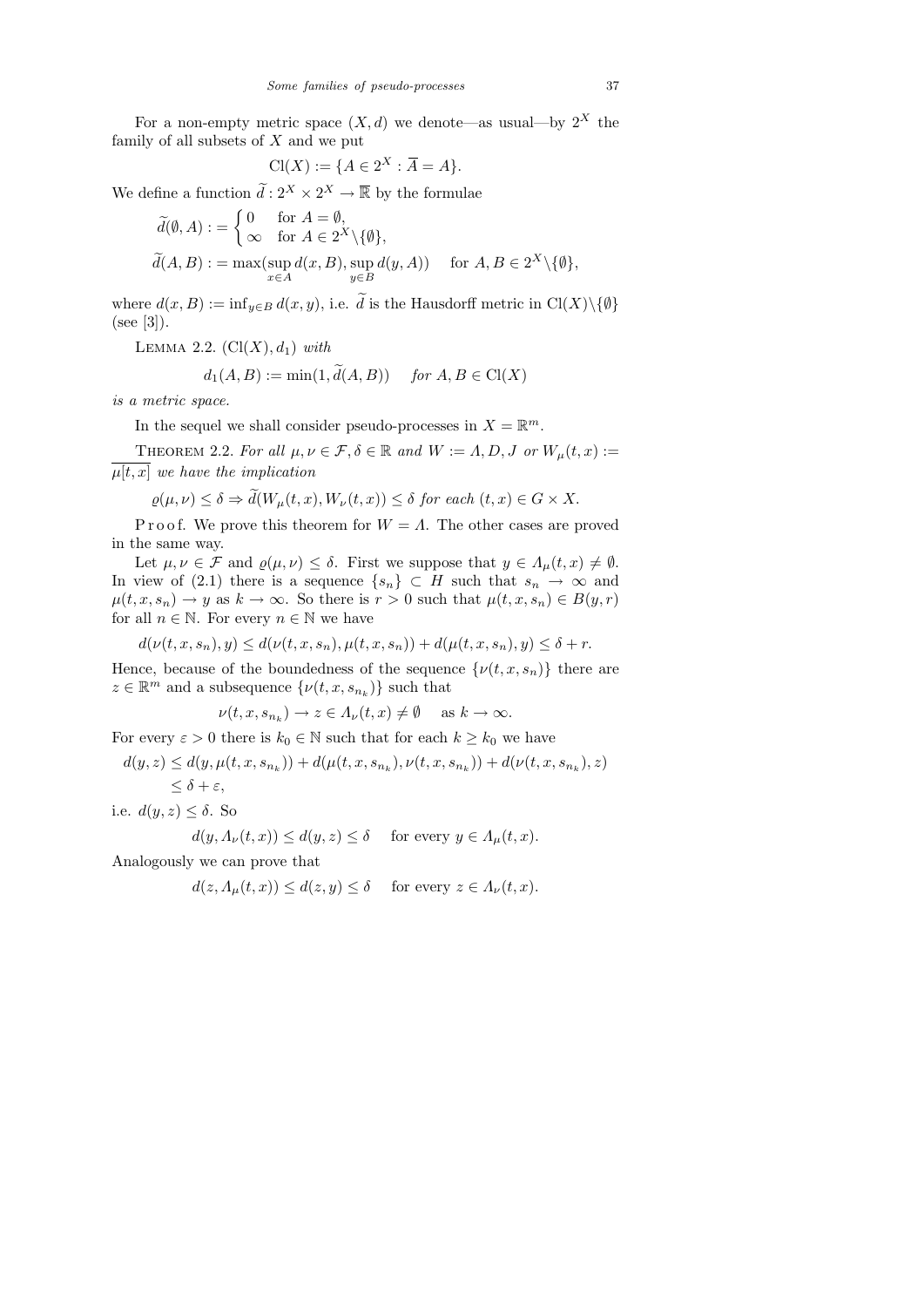For a non-empty metric space  $(X, d)$  we denote—as usual—by  $2^X$  the family of all subsets of  $X$  and we put

$$
Cl(X) := \{ A \in 2^X : \overline{A} = A \}.
$$

We define a function  $\tilde{d}: 2^X \times 2^X \to \overline{\mathbb{R}}$  by the formulae

$$
\widetilde{d}(\emptyset, A) := \begin{cases}\n0 & \text{for } A = \emptyset, \\
\infty & \text{for } A \in 2^X \setminus \{\emptyset\}, \\
\widetilde{d}(A, B) := \max(\sup_{x \in A} d(x, B), \sup_{y \in B} d(y, A)) & \text{for } A, B \in 2^X \setminus \{\emptyset\},\n\end{cases}
$$

where  $d(x, B) := \inf_{y \in B} d(x, y)$ , i.e. d is the Hausdorff metric in  $Cl(X) \setminus \{\emptyset\}$ (see [3]).

LEMMA 2.2.  $(Cl(X), d_1)$  with

$$
d_1(A, B) := \min(1, d(A, B)) \quad \text{for } A, B \in \text{Cl}(X)
$$

is a metric space.

In the sequel we shall consider pseudo-processes in  $X = \mathbb{R}^m$ .

THEOREM 2.2. For all  $\mu, \nu \in \mathcal{F}, \delta \in \mathbb{R}$  and  $W := \Lambda, D, J$  or  $W_{\mu}(t, x) :=$  $\overline{\mu[t, x]}$  we have the implication

$$
\varrho(\mu,\nu) \le \delta \Rightarrow d(W_{\mu}(t,x),W_{\nu}(t,x)) \le \delta \text{ for each } (t,x) \in G \times X.
$$

P r o o f. We prove this theorem for  $W = \Lambda$ . The other cases are proved in the same way.

Let  $\mu, \nu \in \mathcal{F}$  and  $\varrho(\mu, \nu) \leq \delta$ . First we suppose that  $y \in \Lambda_{\mu}(t, x) \neq \emptyset$ . In view of (2.1) there is a sequence  $\{s_n\} \subset H$  such that  $s_n \to \infty$  and  $\mu(t, x, s_n) \to y$  as  $k \to \infty$ . So there is  $r > 0$  such that  $\mu(t, x, s_n) \in B(y, r)$ for all  $n \in \mathbb{N}$ . For every  $n \in \mathbb{N}$  we have

$$
d(\nu(t,x,s_n),y) \leq d(\nu(t,x,s_n),\mu(t,x,s_n)) + d(\mu(t,x,s_n),y) \leq \delta + r.
$$

Hence, because of the boundedness of the sequence  $\{\nu(t, x, s_n)\}\)$  there are  $z \in \mathbb{R}^m$  and a subsequence  $\{\nu(t, x, s_{n_k})\}$  such that

$$
\nu(t, x, s_{n_k}) \to z \in \Lambda_\nu(t, x) \neq \emptyset \quad \text{ as } k \to \infty.
$$

For every  $\varepsilon > 0$  there is  $k_0 \in \mathbb{N}$  such that for each  $k \geq k_0$  we have

$$
d(y,z) \le d(y,\mu(t,x,s_{n_k})) + d(\mu(t,x,s_{n_k}),\nu(t,x,s_{n_k})) + d(\nu(t,x,s_{n_k}),z)
$$
  

$$
\le \delta + \varepsilon,
$$

i.e.  $d(y, z) \leq \delta$ . So

$$
d(y, \Lambda_{\nu}(t, x)) \le d(y, z) \le \delta \quad \text{ for every } y \in \Lambda_{\mu}(t, x).
$$

Analogously we can prove that

$$
d(z, \Lambda_{\mu}(t, x)) \le d(z, y) \le \delta \quad \text{ for every } z \in \Lambda_{\nu}(t, x).
$$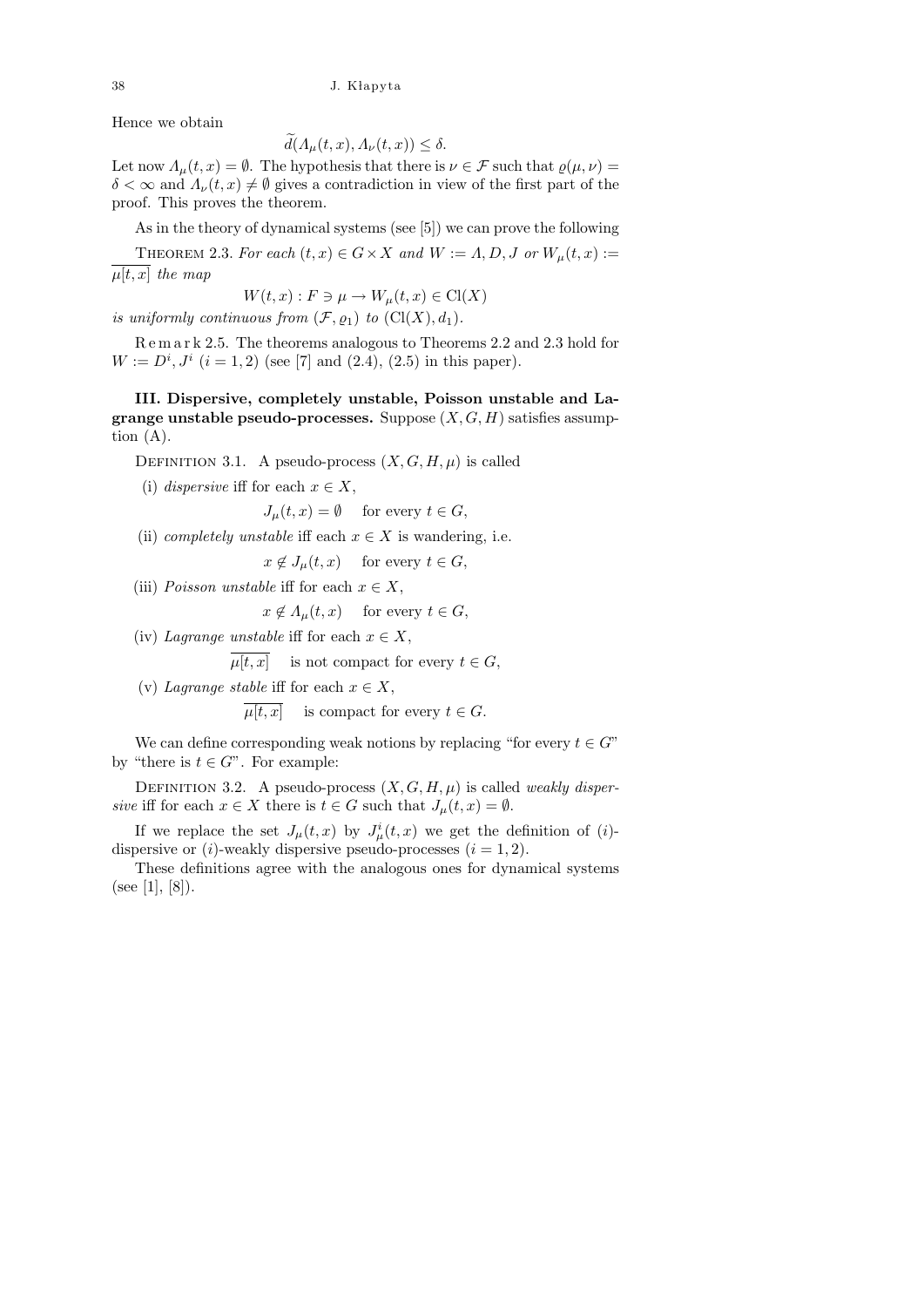## 38 J. K lapyta

Hence we obtain

$$
d(A_{\mu}(t,x), A_{\nu}(t,x)) \leq \delta.
$$

Let now  $\Lambda_{\mu}(t,x) = \emptyset$ . The hypothesis that there is  $\nu \in \mathcal{F}$  such that  $\varrho(\mu,\nu) =$  $\delta < \infty$  and  $\Lambda_{\nu}(t, x) \neq \emptyset$  gives a contradiction in view of the first part of the proof. This proves the theorem.

As in the theory of dynamical systems (see [5]) we can prove the following

THEOREM 2.3. For each  $(t, x) \in G \times X$  and  $W := \Lambda, D, J$  or  $W_u(t, x) :=$  $\mu[t, x]$  the map

 $W(t, x): F \ni \mu \rightarrow W_{\mu}(t, x) \in \mathrm{Cl}(X)$ 

is uniformly continuous from  $(\mathcal{F}, \varrho_1)$  to  $(Cl(X), d_1)$ .

R e m a r k 2.5. The theorems analogous to Theorems 2.2 and 2.3 hold for  $W := D^{i}, J^{i}$   $(i = 1, 2)$  (see [7] and (2.4), (2.5) in this paper).

III. Dispersive, completely unstable, Poisson unstable and La**grange unstable pseudo-processes.** Suppose  $(X, G, H)$  satisfies assumption  $(A)$ .

DEFINITION 3.1. A pseudo-process  $(X, G, H, \mu)$  is called

(i) dispersive iff for each  $x \in X$ ,

 $J_u(t, x) = \emptyset$  for every  $t \in G$ ,

(ii) *completely unstable* iff each  $x \in X$  is wandering, i.e.

 $x \notin J_\mu(t, x)$  for every  $t \in G$ ,

(iii) Poisson unstable iff for each  $x \in X$ ,

 $x \notin A_u(t, x)$  for every  $t \in G$ ,

(iv) Lagrange unstable iff for each  $x \in X$ ,

 $\mu[t, x]$  is not compact for every  $t \in G$ ,

(v) Lagrange stable iff for each  $x \in X$ ,

 $\mu[t, x]$  is compact for every  $t \in G$ .

We can define corresponding weak notions by replacing "for every  $t \in G$ " by "there is  $t \in G$ ". For example:

DEFINITION 3.2. A pseudo-process  $(X, G, H, \mu)$  is called *weakly disper*sive iff for each  $x \in X$  there is  $t \in G$  such that  $J_{\mu}(t, x) = \emptyset$ .

If we replace the set  $J_{\mu}(t,x)$  by  $J_{\mu}^{i}(t,x)$  we get the definition of (*i*)dispersive or  $(i)$ -weakly dispersive pseudo-processes  $(i = 1, 2)$ .

These definitions agree with the analogous ones for dynamical systems (see [1], [8]).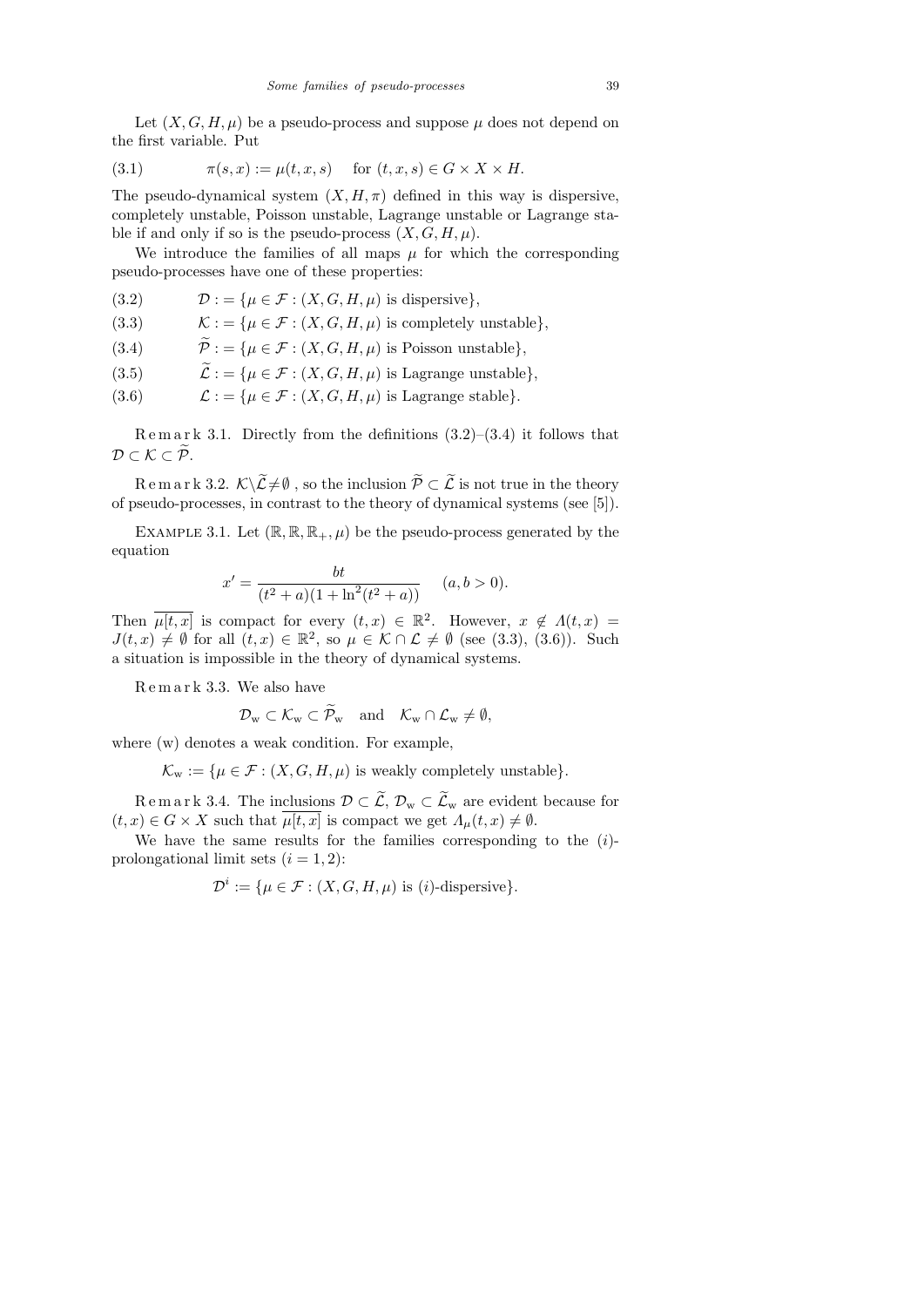Let  $(X, G, H, \mu)$  be a pseudo-process and suppose  $\mu$  does not depend on the first variable. Put

$$
(3.1) \qquad \pi(s,x) := \mu(t,x,s) \quad \text{for } (t,x,s) \in G \times X \times H.
$$

The pseudo-dynamical system  $(X, H, \pi)$  defined in this way is dispersive, completely unstable, Poisson unstable, Lagrange unstable or Lagrange stable if and only if so is the pseudo-process  $(X, G, H, \mu)$ .

We introduce the families of all maps  $\mu$  for which the corresponding pseudo-processes have one of these properties:

- (3.2)  $\mathcal{D} := \{ \mu \in \mathcal{F} : (X, G, H, \mu) \text{ is dispersive} \},\$
- (3.3)  $\mathcal{K} := \{ \mu \in \mathcal{F} : (X, G, H, \mu) \text{ is completely unstable} \},\$
- (3.4)  $\widetilde{\mathcal{P}} := {\mu \in \mathcal{F} : (X, G, H, \mu) \text{ is Poisson unstable}}.$
- (3.5)  $\widetilde{\mathcal{L}} := \{ \mu \in \mathcal{F} : (X, G, H, \mu) \text{ is Lagrange unstable} \},$ <br>(3.6)  $\mathcal{L} := \{ \mu \in \mathcal{F} : (X, G, H, \mu) \text{ is Lagrange stable} \}.$
- $\mathcal{L}$  : = { $\mu \in \mathcal{F}$  :  $(X, G, H, \mu)$  is Lagrange stable}.

Remark 3.1. Directly from the definitions  $(3.2)$ – $(3.4)$  it follows that  $\mathcal{D} \subset \mathcal{K} \subset \widetilde{\mathcal{P}}.$ 

R e m a r k 3.2.  $K\setminus\widetilde{\mathcal{L}}\neq\emptyset$ , so the inclusion  $\widetilde{\mathcal{P}}\subset\widetilde{\mathcal{L}}$  is not true in the theory of pseudo-processes, in contrast to the theory of dynamical systems (see [5]).

EXAMPLE 3.1. Let  $(\mathbb{R}, \mathbb{R}, \mathbb{R}_+, \mu)$  be the pseudo-process generated by the equation

$$
x' = \frac{bt}{(t^2 + a)(1 + \ln^2(t^2 + a))}
$$
  $(a, b > 0).$ 

Then  $\overline{\mu[t,x]}$  is compact for every  $(t,x) \in \mathbb{R}^2$ . However,  $x \notin \Lambda(t,x) =$  $J(t,x) \neq \emptyset$  for all  $(t,x) \in \mathbb{R}^2$ , so  $\mu \in \mathcal{K} \cap \mathcal{L} \neq \emptyset$  (see (3.3), (3.6)). Such a situation is impossible in the theory of dynamical systems.

R e m a r k 3.3. We also have

$$
\mathcal{D}_{w} \subset \mathcal{K}_{w} \subset \mathcal{P}_{w} \quad \text{and} \quad \mathcal{K}_{w} \cap \mathcal{L}_{w} \neq \emptyset,
$$

where (w) denotes a weak condition. For example,

 $\mathcal{K}_{w} := \{ \mu \in \mathcal{F} : (X, G, H, \mu) \text{ is weakly completely unstable} \}.$ 

 $R$  e m a r k 3.4. The inclusions  $\mathcal{D} \subset \mathcal{L}$ ,  $\mathcal{D}_w \subset \mathcal{L}_w$  are evident because for  $(t, x) \in G \times X$  such that  $\overline{\mu[t, x]}$  is compact we get  $\Lambda_{\mu}(t, x) \neq \emptyset$ .

We have the same results for the families corresponding to the  $(i)$ prolongational limit sets  $(i = 1, 2)$ :

$$
\mathcal{D}^i := \{ \mu \in \mathcal{F} : (X, G, H, \mu) \text{ is } (i)\text{-dispersive} \}.
$$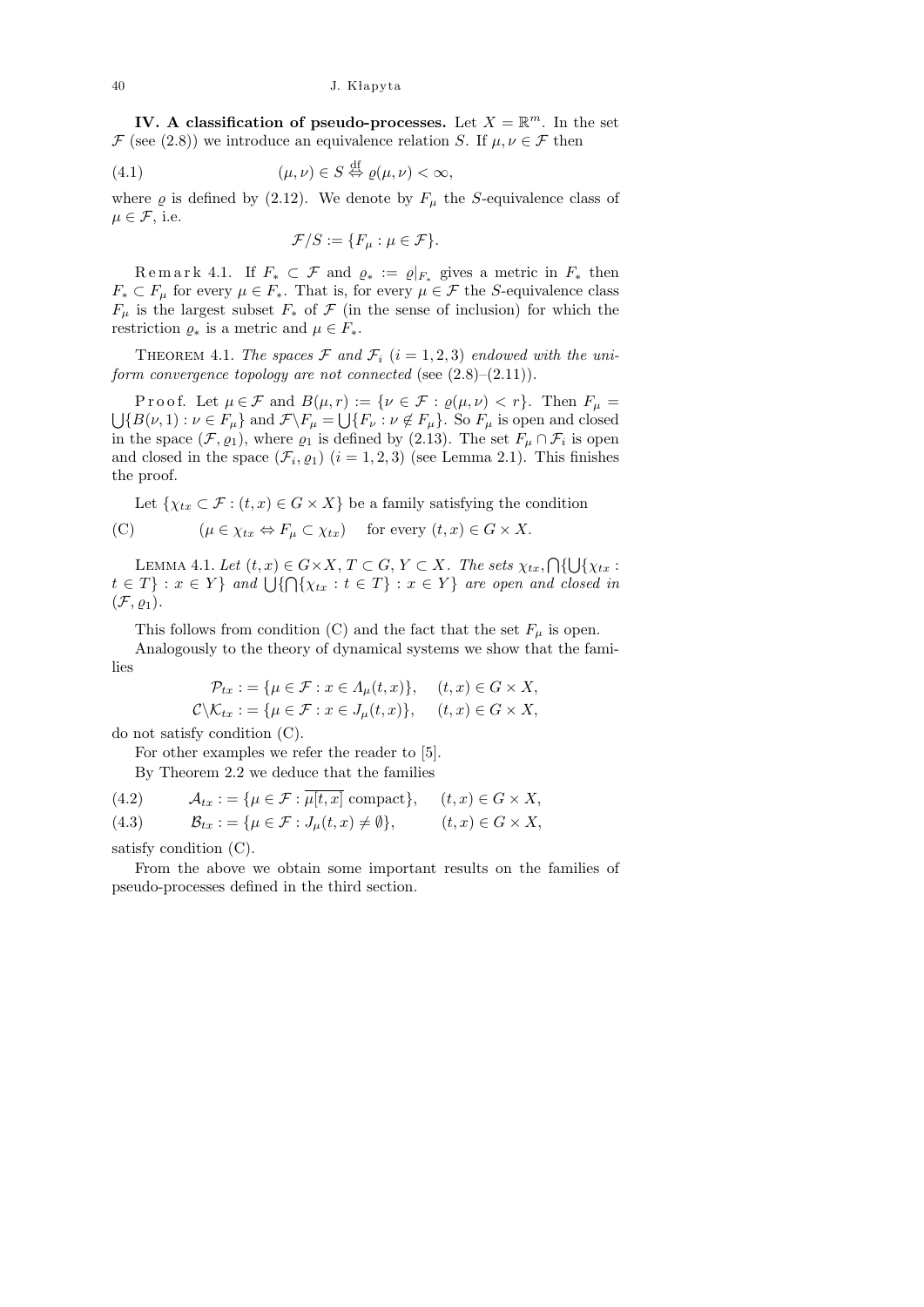IV. A classification of pseudo-processes. Let  $X = \mathbb{R}^m$ . In the set  $\mathcal F$  (see (2.8)) we introduce an equivalence relation S. If  $\mu, \nu \in \mathcal F$  then

(4.1) 
$$
(\mu, \nu) \in S \stackrel{\text{df}}{\Leftrightarrow} \varrho(\mu, \nu) < \infty,
$$

where  $\rho$  is defined by (2.12). We denote by  $F_{\mu}$  the S-equivalence class of  $\mu \in \mathcal{F}$ , i.e.

$$
\mathcal{F}/S := \{F_{\mu} : \mu \in \mathcal{F}\}.
$$

Remark 4.1. If  $F_* \subset \mathcal{F}$  and  $\varrho_* := \varrho|_{F_*}$  gives a metric in  $F_*$  then  $F_* \subset F_\mu$  for every  $\mu \in F_*$ . That is, for every  $\mu \in \mathcal{F}$  the S-equivalence class  $F_{\mu}$  is the largest subset  $F_{*}$  of  $\mathcal F$  (in the sense of inclusion) for which the restriction  $\varrho_*$  is a metric and  $\mu \in F_*$ .

THEOREM 4.1. The spaces  $\mathcal F$  and  $\mathcal F_i$   $(i = 1, 2, 3)$  endowed with the uniform convergence topology are not connected (see  $(2.8)$ – $(2.11)$ ).

Proof. Let  $\mu \in \mathcal{F}$  and  $B(\mu, r) := \{ \nu \in \mathcal{F} : \varrho(\mu, \nu) < r \}.$  Then  $F_{\mu} =$  $\bigcup \{B(\nu,1): \nu \in F_{\mu}\}\$ and  $\mathcal{F}\backslash F_{\mu} = \bigcup \{F_{\nu}: \nu \notin F_{\mu}\}\$ . So  $F_{\mu}$  is open and closed in the space  $(\mathcal{F}, \varrho_1)$ , where  $\varrho_1$  is defined by (2.13). The set  $F_\mu \cap \mathcal{F}_i$  is open and closed in the space  $(\mathcal{F}_i, \varrho_1)$   $(i = 1, 2, 3)$  (see Lemma 2.1). This finishes the proof.

Let  $\{ \chi_{tx} \subset \mathcal{F} : (t, x) \in G \times X \}$  be a family satisfying the condition (C)  $(\mu \in \chi_{tx} \Leftrightarrow F_{\mu} \subset \chi_{tx})$  for every  $(t, x) \in G \times X$ .

LEMMA 4.1. Let  $(t, x) \in G \times X$ ,  $T \subset G$ ,  $Y \subset X$ . The sets  $\chi_{tx}$ ,  $\bigcap \{\bigcup \{\chi_{tx} :$  $t \in T$  :  $x \in Y$  } and  $\bigcup \{ \bigcap \{ \chi_{tx} : t \in T \} : x \in Y \}$  are open and closed in  $(\mathcal{F}, \varrho_1).$ 

This follows from condition (C) and the fact that the set  $F_{\mu}$  is open.

Analogously to the theory of dynamical systems we show that the families

$$
\mathcal{P}_{tx} := \{ \mu \in \mathcal{F} : x \in \Lambda_{\mu}(t, x) \}, \quad (t, x) \in G \times X,
$$
  

$$
\mathcal{C} \backslash \mathcal{K}_{tx} := \{ \mu \in \mathcal{F} : x \in J_{\mu}(t, x) \}, \quad (t, x) \in G \times X,
$$

do not satisfy condition (C).

For other examples we refer the reader to [5].

By Theorem 2.2 we deduce that the families

(4.2) 
$$
\mathcal{A}_{tx} := \{ \mu \in \mathcal{F} : \mu[t, x] \text{ compact} \}, \quad (t, x) \in G \times X,
$$
  
(4.3) 
$$
\mathcal{B}_{tx} := \{ \mu \in \mathcal{F} : J_{\mu}(t, x) \neq \emptyset \}, \quad (t, x) \in G \times X,
$$

satisfy condition (C).

From the above we obtain some important results on the families of pseudo-processes defined in the third section.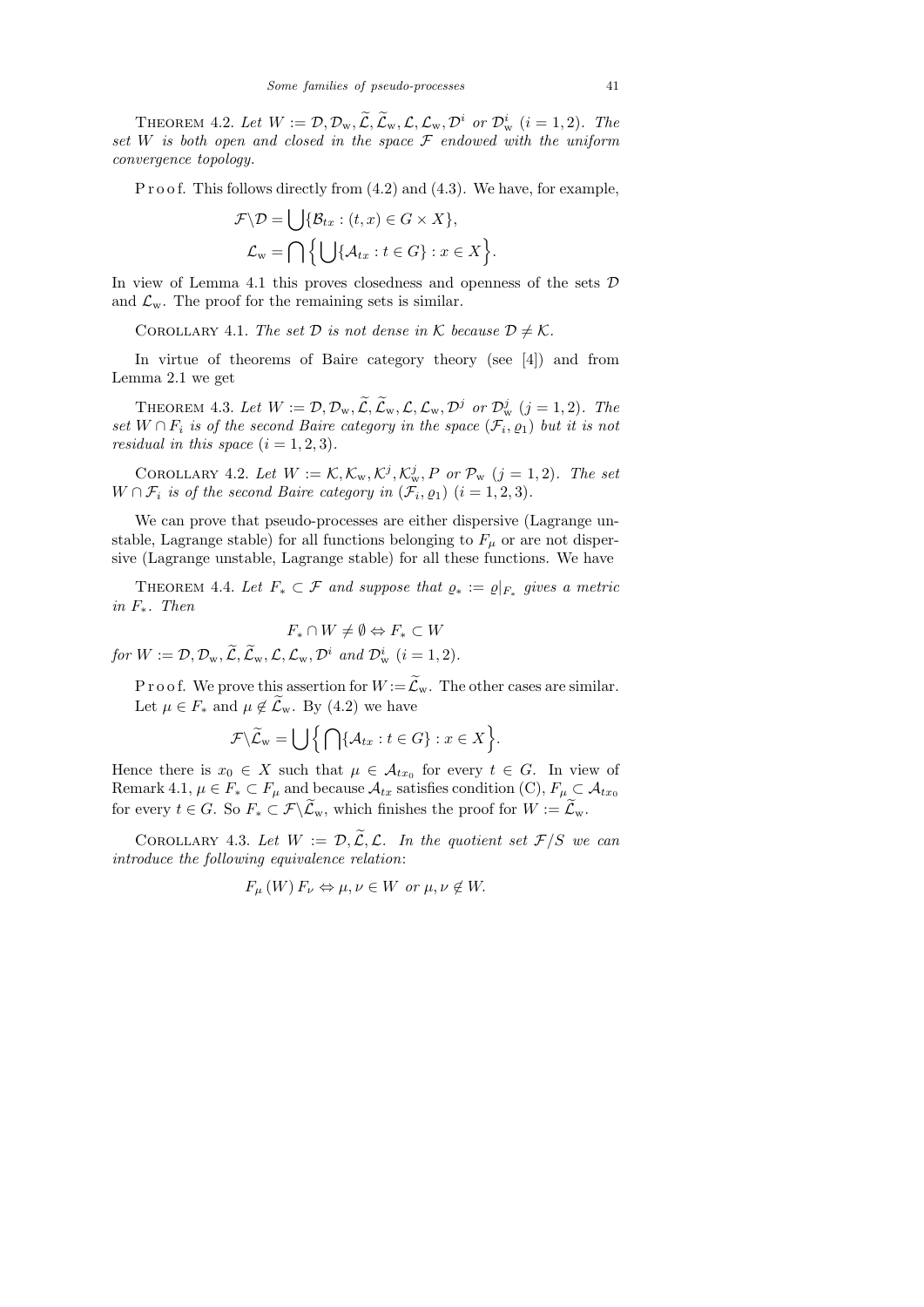THEOREM 4.2. Let  $W := \mathcal{D}, \mathcal{D}_w, \widetilde{\mathcal{L}}, \widetilde{\mathcal{L}}_w, \mathcal{L}, \mathcal{L}_w, \mathcal{D}^i$  or  $\mathcal{D}_w^i$  (i = 1, 2). The set W is both open and closed in the space  $\mathcal F$  endowed with the uniform convergence topology.

P r o o f. This follows directly from  $(4.2)$  and  $(4.3)$ . We have, for example,

$$
\mathcal{F}\backslash\mathcal{D} = \bigcup \{\mathcal{B}_{tx} : (t, x) \in G \times X\},\
$$

$$
\mathcal{L}_{w} = \bigcap \Big\{\bigcup \{\mathcal{A}_{tx} : t \in G\} : x \in X\Big\}.
$$

In view of Lemma 4.1 this proves closedness and openness of the sets  $\mathcal D$ and  $\mathcal{L}_{w}$ . The proof for the remaining sets is similar.

COROLLARY 4.1. The set  $D$  is not dense in K because  $D \neq K$ .

In virtue of theorems of Baire category theory (see [4]) and from Lemma 2.1 we get

THEOREM 4.3. Let  $W := \mathcal{D}, \mathcal{D}_w, \widetilde{\mathcal{L}}, \widetilde{\mathcal{L}}_w, \mathcal{L}, \mathcal{L}_w, \mathcal{D}^j$  or  $\mathcal{D}_w^j$   $(j = 1, 2)$ . The set  $W \cap F_i$  is of the second Baire category in the space  $(\mathcal{F}_i, \rho_1)$  but it is not residual in this space  $(i = 1, 2, 3)$ .

COROLLARY 4.2. Let  $W := \mathcal{K}, \mathcal{K}_{w}, \mathcal{K}^{j}, \mathcal{K}_{w}^{j}, P$  or  $\mathcal{P}_{w}$   $(j = 1, 2)$ . The set  $W \cap \mathcal{F}_i$  is of the second Baire category in  $(\mathcal{F}_i, \varrho_1)$   $(i = 1, 2, 3)$ .

We can prove that pseudo-processes are either dispersive (Lagrange unstable, Lagrange stable) for all functions belonging to  $F_{\mu}$  or are not dispersive (Lagrange unstable, Lagrange stable) for all these functions. We have

THEOREM 4.4. Let  $F_* \subset \mathcal{F}$  and suppose that  $\varrho_* := \varrho|_{F_*}$  gives a metric in F∗. Then

$$
F_* \cap W \neq \emptyset \Leftrightarrow F_* \subset W
$$

for  $W := \mathcal{D}, \mathcal{D}_w, \widetilde{\mathcal{L}}, \widetilde{\mathcal{L}}_w, \mathcal{L}, \mathcal{L}_w, \mathcal{D}^i$  and  $\mathcal{D}_w^i$   $(i = 1, 2)$ .

P r o o f. We prove this assertion for  $W = \mathcal{L}_w$ . The other cases are similar. Let  $\mu \in F_*$  and  $\mu \notin \mathcal{L}_{\mathrm{w}}$ . By (4.2) we have

$$
\mathcal{F}\backslash \widetilde{\mathcal{L}}_{w}=\bigcup\Big\{\bigcap\{\mathcal{A}_{tx}:t\in G\}:x\in X\Big\}.
$$

Hence there is  $x_0 \in X$  such that  $\mu \in \mathcal{A}_{tx_0}$  for every  $t \in G$ . In view of Remark 4.1,  $\mu \in F_* \subset F_\mu$  and because  $\mathcal{A}_{tx}$  satisfies condition (C),  $F_\mu \subset \mathcal{A}_{tx_0}$ for every  $t \in G$ . So  $F_* \subset \mathcal{F} \backslash \mathcal{L}_{w}$ , which finishes the proof for  $W := \mathcal{L}_{w}$ .

COROLLARY 4.3. Let  $W := \mathcal{D}, \widetilde{\mathcal{L}}, \mathcal{L}$ . In the quotient set  $\mathcal{F}/S$  we can introduce the following equivalence relation:

$$
F_{\mu}(W) F_{\nu} \Leftrightarrow \mu, \nu \in W \text{ or } \mu, \nu \notin W.
$$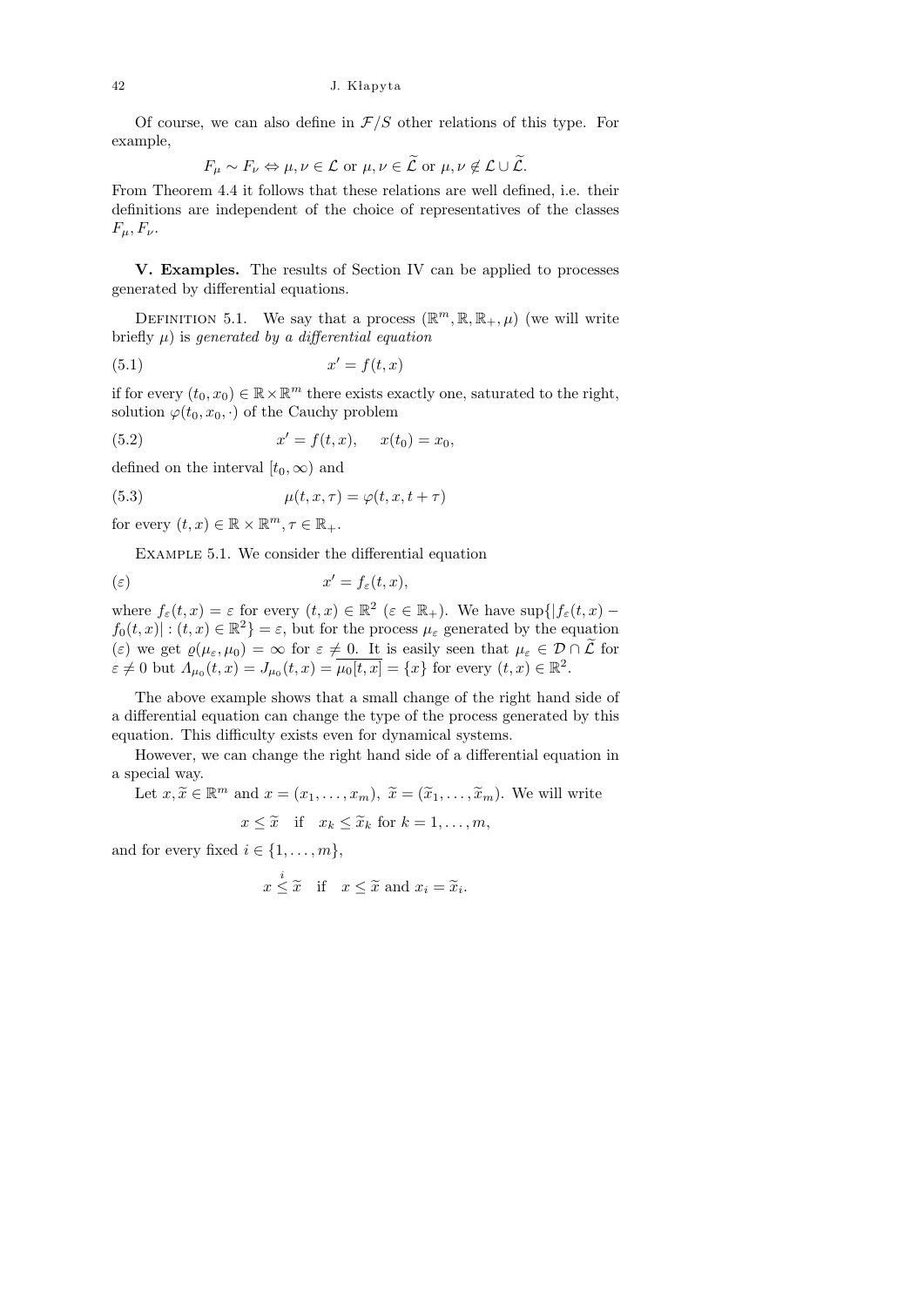Of course, we can also define in  $\mathcal{F}/S$  other relations of this type. For example,

$$
F_{\mu} \sim F_{\nu} \Leftrightarrow \mu, \nu \in \mathcal{L} \text{ or } \mu, \nu \in \widetilde{\mathcal{L}} \text{ or } \mu, \nu \notin \mathcal{L} \cup \widetilde{\mathcal{L}}.
$$

From Theorem 4.4 it follows that these relations are well defined, i.e. their definitions are independent of the choice of representatives of the classes  $F_\mu, F_\nu.$ 

V. Examples. The results of Section IV can be applied to processes generated by differential equations.

DEFINITION 5.1. We say that a process  $(\mathbb{R}^m, \mathbb{R}, \mathbb{R}_+, \mu)$  (we will write briefly  $\mu$ ) is generated by a differential equation

$$
(5.1) \t\t x' = f(t, x)
$$

if for every  $(t_0, x_0) \in \mathbb{R} \times \mathbb{R}^m$  there exists exactly one, saturated to the right, solution  $\varphi(t_0, x_0, \cdot)$  of the Cauchy problem

(5.2) 
$$
x' = f(t, x), \quad x(t_0) = x_0,
$$

defined on the interval  $[t_0, \infty)$  and

(5.3) 
$$
\mu(t, x, \tau) = \varphi(t, x, t + \tau)
$$

for every  $(t, x) \in \mathbb{R} \times \mathbb{R}^m, \tau \in \mathbb{R}_+$ .

Example 5.1. We consider the differential equation

$$
x' = f_{\varepsilon}(t, x),
$$

where  $f_{\varepsilon}(t,x) = \varepsilon$  for every  $(t,x) \in \mathbb{R}^2$   $(\varepsilon \in \mathbb{R}_+).$  We have  $\sup\{|f_{\varepsilon}(t,x)$  $f_0(t,x) : (t,x) \in \mathbb{R}^2$  =  $\varepsilon$ , but for the process  $\mu_{\varepsilon}$  generated by the equation (ε) we get  $\varrho(\mu_{\varepsilon}, \mu_0) = \infty$  for  $\varepsilon \neq 0$ . It is easily seen that  $\mu_{\varepsilon} \in \mathcal{D} \cap \tilde{\mathcal{L}}$  for  $\varepsilon \neq 0$  but  $\Lambda_{\mu_0}(t,x) = J_{\mu_0}(t,x) = \overline{\mu_0[t,x]} = \{x\}$  for every  $(t,x) \in \mathbb{R}^2$ .

The above example shows that a small change of the right hand side of a differential equation can change the type of the process generated by this equation. This difficulty exists even for dynamical systems.

However, we can change the right hand side of a differential equation in a special way.

Let  $x, \tilde{x} \in \mathbb{R}^m$  and  $x = (x_1, \ldots, x_m)$ ,  $\tilde{x} = (\tilde{x}_1, \ldots, \tilde{x}_m)$ . We will write

$$
x \leq \tilde{x} \quad \text{if} \quad x_k \leq \tilde{x}_k \text{ for } k = 1, \dots, m,
$$

and for every fixed  $i \in \{1, \ldots, m\},\$ 

$$
x \stackrel{i}{\leq} \tilde{x}
$$
 if  $x \leq \tilde{x}$  and  $x_i = \tilde{x}_i$ .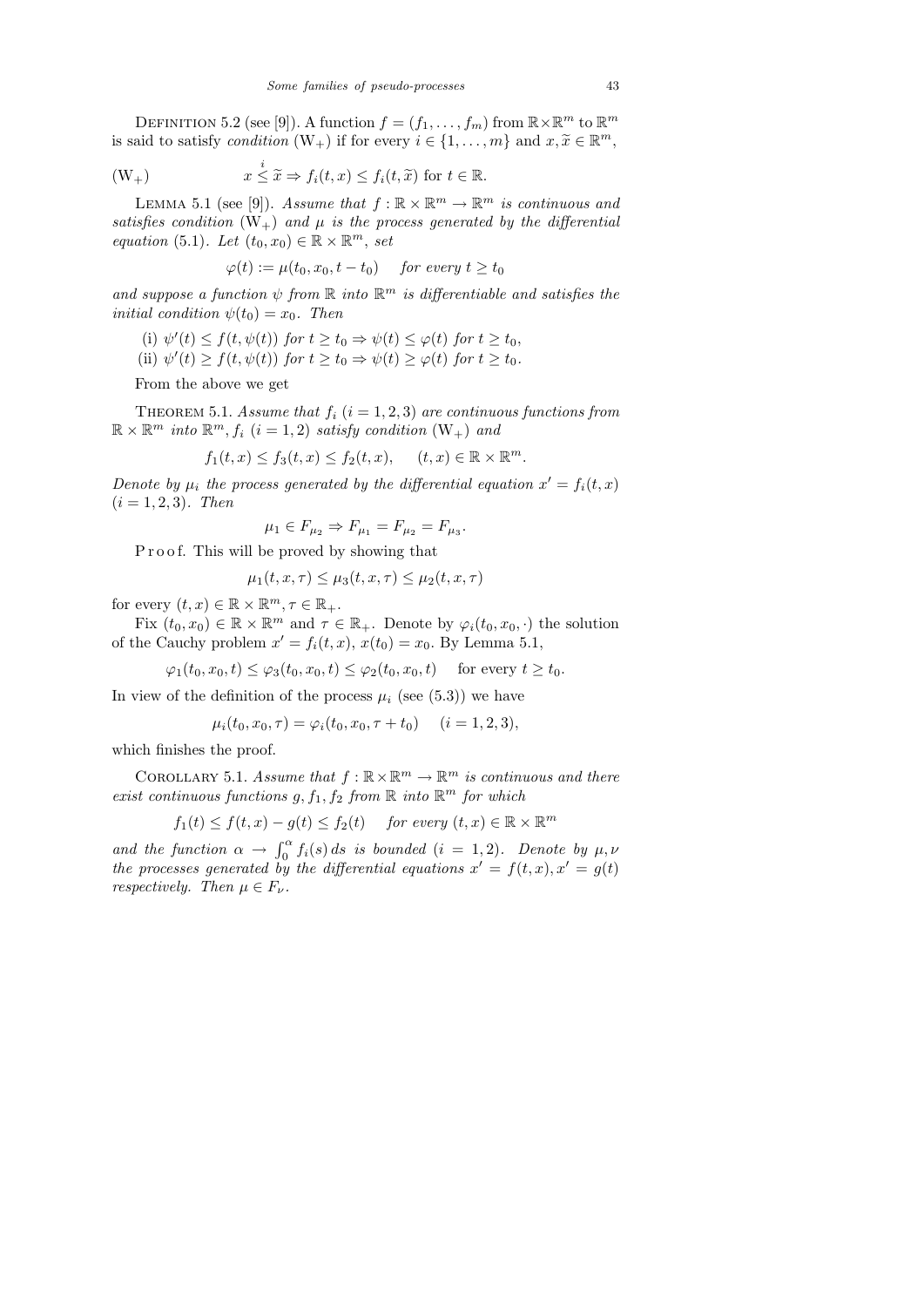DEFINITION 5.2 (see [9]). A function  $f = (f_1, \ldots, f_m)$  from  $\mathbb{R} \times \mathbb{R}^m$  to  $\mathbb{R}^m$ is said to satisfy *condition*  $(W_+)$  if for every  $i \in \{1, ..., m\}$  and  $x, \tilde{x} \in \mathbb{R}^m$ ,

$$
(W_+) \t x \stackrel{i}{\leq} \tilde{x} \Rightarrow f_i(t,x) \leq f_i(t,\tilde{x}) \t for t \in \mathbb{R}.
$$

LEMMA 5.1 (see [9]). Assume that  $f : \mathbb{R} \times \mathbb{R}^m \to \mathbb{R}^m$  is continuous and satisfies condition  $(W_+)$  and  $\mu$  is the process generated by the differential equation (5.1). Let  $(t_0, x_0) \in \mathbb{R} \times \mathbb{R}^m$ , set

$$
\varphi(t):=\mu(t_0,x_0,t-t_0)\quad \textit{ for every }t\geq t_0
$$

and suppose a function  $\psi$  from  $\mathbb R$  into  $\mathbb R^m$  is differentiable and satisfies the *initial condition*  $\psi(t_0) = x_0$ . Then

(i) 
$$
\psi'(t) \leq f(t, \psi(t))
$$
 for  $t \geq t_0 \Rightarrow \psi(t) \leq \varphi(t)$  for  $t \geq t_0$ ,

(ii)  $\psi'(t) \geq f(t, \psi(t))$  for  $t \geq t_0 \Rightarrow \psi(t) \geq \varphi(t)$  for  $t \geq t_0$ .

From the above we get

THEOREM 5.1. Assume that  $f_i$   $(i = 1, 2, 3)$  are continuous functions from  $\mathbb{R} \times \mathbb{R}^m$  into  $\mathbb{R}^m$ ,  $f_i$   $(i = 1, 2)$  satisfy condition  $(W_+)$  and

$$
f_1(t,x) \le f_3(t,x) \le f_2(t,x), \quad (t,x) \in \mathbb{R} \times \mathbb{R}^m.
$$

Denote by  $\mu_i$  the process generated by the differential equation  $x' = f_i(t, x)$  $(i = 1, 2, 3)$ . Then

$$
\mu_1\in F_{\mu_2}\Rightarrow F_{\mu_1}=F_{\mu_2}=F_{\mu_3}.
$$

P r o o f. This will be proved by showing that

$$
\mu_1(t, x, \tau) \le \mu_3(t, x, \tau) \le \mu_2(t, x, \tau)
$$

for every  $(t, x) \in \mathbb{R} \times \mathbb{R}^m, \tau \in \mathbb{R}_+$ .

Fix  $(t_0, x_0) \in \mathbb{R} \times \mathbb{R}^m$  and  $\tau \in \mathbb{R}_+$ . Denote by  $\varphi_i(t_0, x_0, \cdot)$  the solution of the Cauchy problem  $x' = f_i(t, x)$ ,  $x(t_0) = x_0$ . By Lemma 5.1,

$$
\varphi_1(t_0, x_0, t) \le \varphi_3(t_0, x_0, t) \le \varphi_2(t_0, x_0, t) \quad \text{ for every } t \ge t_0.
$$

In view of the definition of the process  $\mu_i$  (see (5.3)) we have

 $\mu_i(t_0, x_0, \tau) = \varphi_i(t_0, x_0, \tau + t_0)$   $(i = 1, 2, 3),$ 

which finishes the proof.

COROLLARY 5.1. Assume that  $f : \mathbb{R} \times \mathbb{R}^m \to \mathbb{R}^m$  is continuous and there exist continuous functions  $g, f_1, f_2$  from  $\mathbb R$  into  $\mathbb R^m$  for which

$$
f_1(t) \le f(t, x) - g(t) \le f_2(t)
$$
 for every  $(t, x) \in \mathbb{R} \times \mathbb{R}^m$ 

and the function  $\alpha \to \int_0^{\alpha} f_i(s) ds$  is bounded  $(i = 1, 2)$ . Denote by  $\mu, \nu$ the processes generated by the differential equations  $x' = f(t, x)$ ,  $x' = g(t)$ respectively. Then  $\mu \in F_{\nu}$ .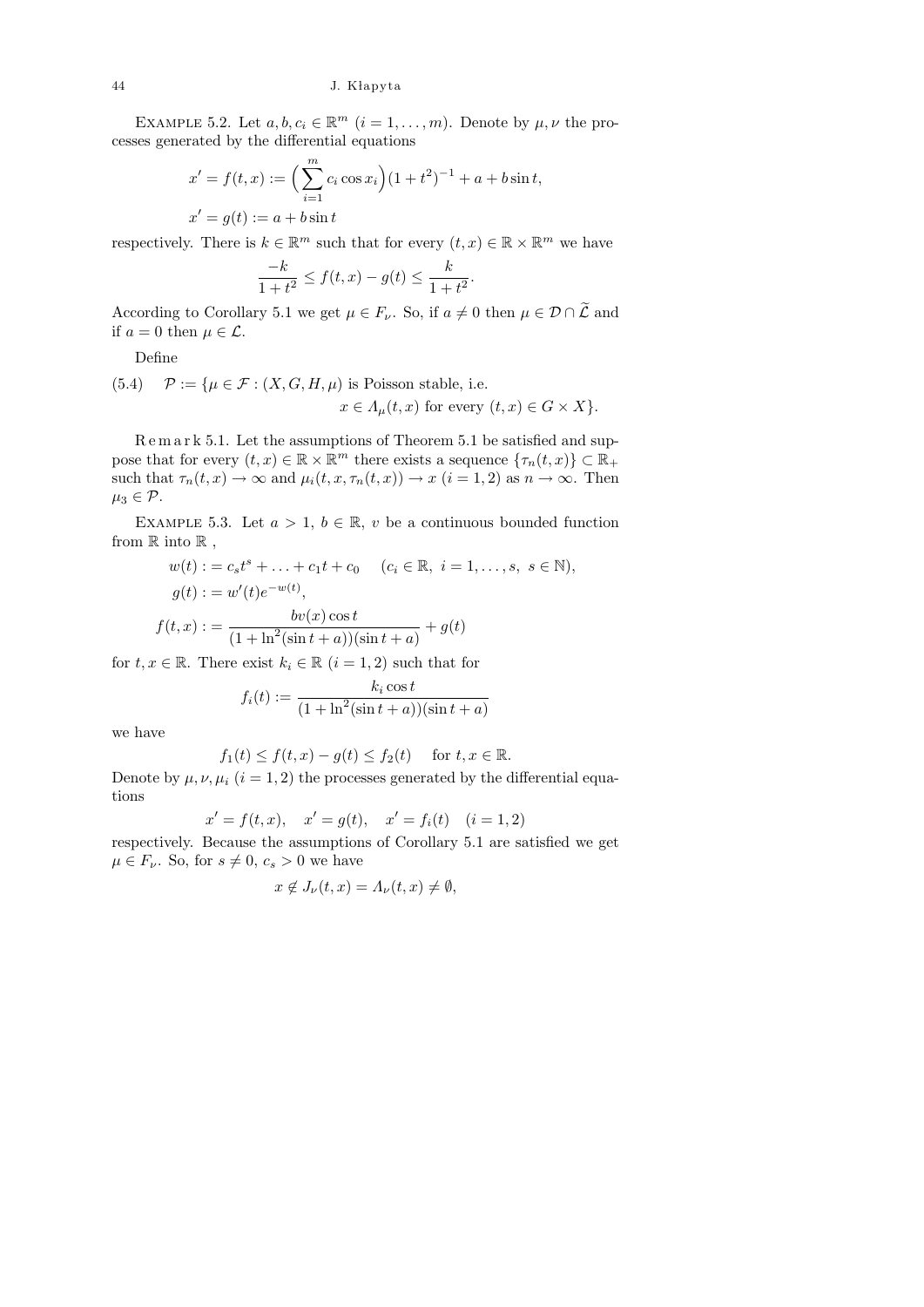EXAMPLE 5.2. Let  $a, b, c_i \in \mathbb{R}^m$   $(i = 1, ..., m)$ . Denote by  $\mu, \nu$  the processes generated by the differential equations

$$
x' = f(t, x) := \left(\sum_{i=1}^{m} c_i \cos x_i\right) (1 + t^2)^{-1} + a + b \sin t,
$$
  
\n
$$
x' = g(t) := a + b \sin t
$$

respectively. There is  $k \in \mathbb{R}^m$  such that for every  $(t, x) \in \mathbb{R} \times \mathbb{R}^m$  we have

$$
\frac{-k}{1+t^2} \le f(t,x) - g(t) \le \frac{k}{1+t^2}.
$$

According to Corollary 5.1 we get  $\mu \in F_{\nu}$ . So, if  $a \neq 0$  then  $\mu \in \mathcal{D} \cap \widetilde{\mathcal{L}}$  and if  $a = 0$  then  $\mu \in \mathcal{L}$ .

Define

(5.4) 
$$
\mathcal{P} := \{ \mu \in \mathcal{F} : (X, G, H, \mu) \text{ is Poisson stable, i.e.}
$$
  
\n $x \in \Lambda_{\mu}(t, x) \text{ for every } (t, x) \in G \times X \}.$ 

R e m a r k 5.1. Let the assumptions of Theorem 5.1 be satisfied and suppose that for every  $(t, x) \in \mathbb{R} \times \mathbb{R}^m$  there exists a sequence  $\{\tau_n(t, x)\} \subset \mathbb{R}_+$ such that  $\tau_n(t, x) \to \infty$  and  $\mu_i(t, x, \tau_n(t, x)) \to x$   $(i = 1, 2)$  as  $n \to \infty$ . Then  $\mu_3 \in \mathcal{P}$ .

EXAMPLE 5.3. Let  $a > 1$ ,  $b \in \mathbb{R}$ , v be a continuous bounded function from  $\mathbb R$  into  $\mathbb R$ ,

$$
w(t) := c_s t^s + \dots + c_1 t + c_0 \quad (c_i \in \mathbb{R}, \ i = 1, \dots, s, \ s \in \mathbb{N}),
$$
  

$$
g(t) := w'(t)e^{-w(t)},
$$
  

$$
f(t, x) := \frac{bv(x)\cos t}{(1 + \ln^2(\sin t + a))(\sin t + a)} + g(t)
$$

for  $t, x \in \mathbb{R}$ . There exist  $k_i \in \mathbb{R}$   $(i = 1, 2)$  such that for

$$
f_i(t) := \frac{k_i \cos t}{(1 + \ln^2(\sin t + a))(\sin t + a)}
$$

we have

$$
f_1(t) \le f(t, x) - g(t) \le f_2(t) \quad \text{ for } t, x \in \mathbb{R}.
$$

Denote by  $\mu$ ,  $\nu$ ,  $\mu$ <sub>i</sub> (i = 1, 2) the processes generated by the differential equations

$$
x' = f(t, x),
$$
  $x' = g(t),$   $x' = f_i(t)$   $(i = 1, 2)$ 

respectively. Because the assumptions of Corollary 5.1 are satisfied we get  $\mu \in F_{\nu}$ . So, for  $s \neq 0, c_s > 0$  we have

$$
x \notin J_{\nu}(t, x) = \Lambda_{\nu}(t, x) \neq \emptyset,
$$